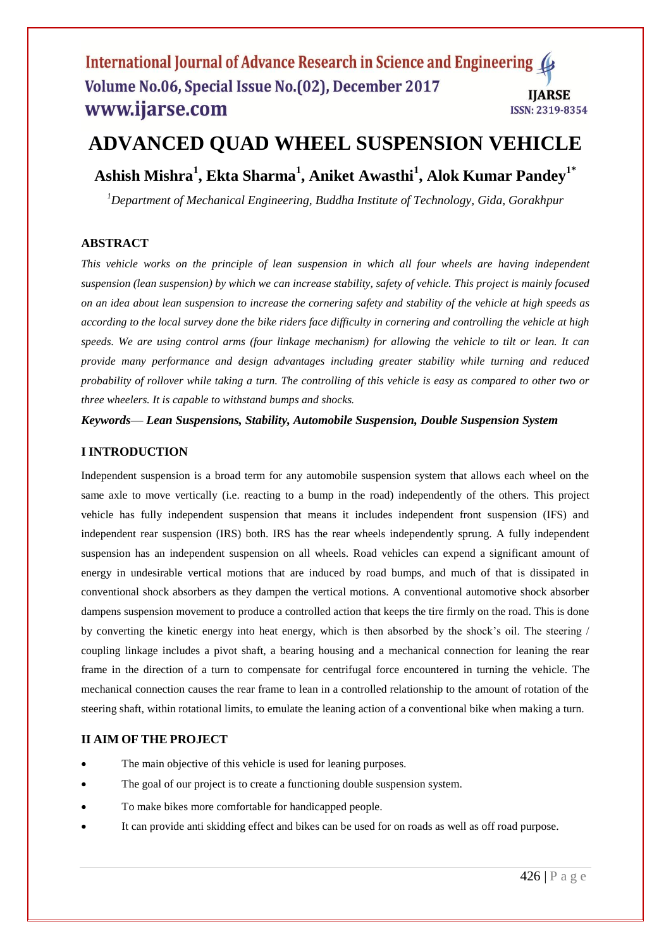#### International Journal of Advance Research in Science and Engineering Volume No.06, Special Issue No.(02), December 2017 **IIARSE** www.ijarse.com ISSN: 2319-8354

# **ADVANCED QUAD WHEEL SUSPENSION VEHICLE**

**Ashish Mishra<sup>1</sup> , Ekta Sharma<sup>1</sup> , Aniket Awasthi<sup>1</sup> , Alok Kumar Pandey1\***

*<sup>1</sup>Department of Mechanical Engineering, Buddha Institute of Technology, Gida, Gorakhpur* 

# **ABSTRACT**

*This vehicle works on the principle of lean suspension in which all four wheels are having independent suspension (lean suspension) by which we can increase stability, safety of vehicle. This project is mainly focused on an idea about lean suspension to increase the cornering safety and stability of the vehicle at high speeds as according to the local survey done the bike riders face difficulty in cornering and controlling the vehicle at high speeds. We are using control arms (four linkage mechanism) for allowing the vehicle to tilt or lean. It can provide many performance and design advantages including greater stability while turning and reduced probability of rollover while taking a turn. The controlling of this vehicle is easy as compared to other two or three wheelers. It is capable to withstand bumps and shocks.*

*Keywords*— *Lean Suspensions, Stability, Automobile Suspension, Double Suspension System*

## **I INTRODUCTION**

Independent suspension is a broad term for any automobile suspension system that allows each wheel on the same axle to move vertically (i.e. reacting to a bump in the road) independently of the others. This project vehicle has fully independent suspension that means it includes independent front suspension (IFS) and independent rear suspension (IRS) both. IRS has the rear wheels independently sprung. A fully independent suspension has an independent suspension on all wheels. Road vehicles can expend a significant amount of energy in undesirable vertical motions that are induced by road bumps, and much of that is dissipated in conventional shock absorbers as they dampen the vertical motions. A conventional automotive shock absorber dampens suspension movement to produce a controlled action that keeps the tire firmly on the road. This is done by converting the kinetic energy into heat energy, which is then absorbed by the shock's oil. The steering / coupling linkage includes a pivot shaft, a bearing housing and a mechanical connection for leaning the rear frame in the direction of a turn to compensate for centrifugal force encountered in turning the vehicle. The mechanical connection causes the rear frame to lean in a controlled relationship to the amount of rotation of the steering shaft, within rotational limits, to emulate the leaning action of a conventional bike when making a turn.

## **II AIM OF THE PROJECT**

- The main objective of this vehicle is used for leaning purposes.
- The goal of our project is to create a functioning double suspension system.
- To make bikes more comfortable for handicapped people.
- It can provide anti skidding effect and bikes can be used for on roads as well as off road purpose.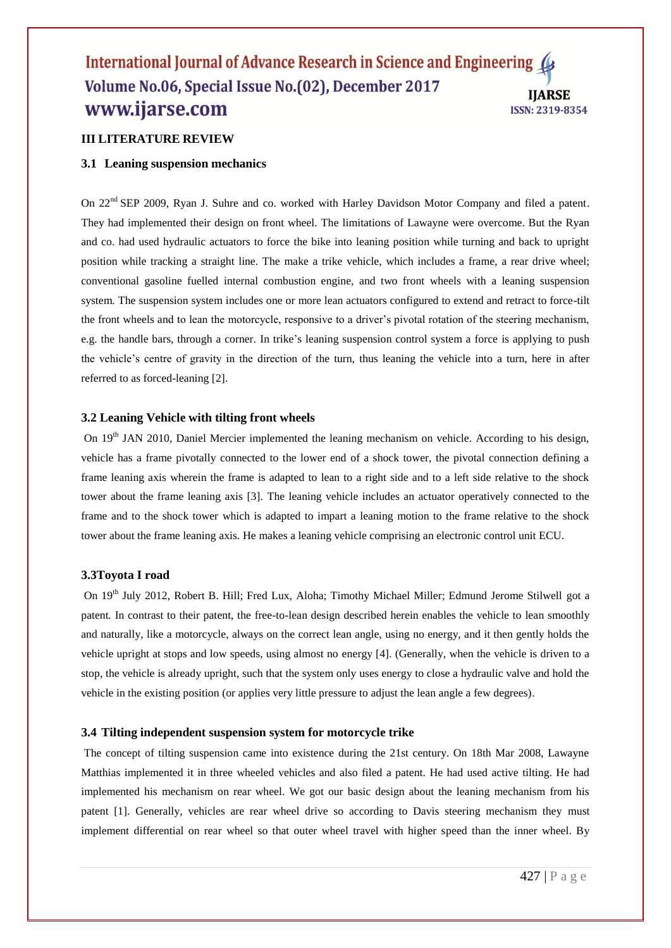#### International Journal of Advance Research in Science and Engineering 4 Volume No.06, Special Issue No.(02), December 2017 **IIARSE** www.ijarse.com ISSN: 2319-8354

## **III LITERATURE REVIEW**

#### **3.1 Leaning suspension mechanics**

On 22<sup>nd</sup> SEP 2009, Ryan J. Suhre and co. worked with Harley Davidson Motor Company and filed a patent. They had implemented their design on front wheel. The limitations of Lawayne were overcome. But the Ryan and co. had used hydraulic actuators to force the bike into leaning position while turning and back to upright position while tracking a straight line. The make a trike vehicle, which includes a frame, a rear drive wheel; conventional gasoline fuelled internal combustion engine, and two front wheels with a leaning suspension system. The suspension system includes one or more lean actuators configured to extend and retract to force-tilt the front wheels and to lean the motorcycle, responsive to a driver's pivotal rotation of the steering mechanism, e.g. the handle bars, through a corner. In trike's leaning suspension control system a force is applying to push the vehicle's centre of gravity in the direction of the turn, thus leaning the vehicle into a turn, here in after referred to as forced-leaning [2].

#### **3.2 Leaning Vehicle with tilting front wheels**

On 19<sup>th</sup> JAN 2010, Daniel Mercier implemented the leaning mechanism on vehicle. According to his design, vehicle has a frame pivotally connected to the lower end of a shock tower, the pivotal connection defining a frame leaning axis wherein the frame is adapted to lean to a right side and to a left side relative to the shock tower about the frame leaning axis [3]. The leaning vehicle includes an actuator operatively connected to the frame and to the shock tower which is adapted to impart a leaning motion to the frame relative to the shock tower about the frame leaning axis. He makes a leaning vehicle comprising an electronic control unit ECU.

#### **3.3Toyota I road**

On 19th July 2012, Robert B. Hill; Fred Lux, Aloha; Timothy Michael Miller; Edmund Jerome Stilwell got a patent*.* In contrast to their patent, the free-to-lean design described herein enables the vehicle to lean smoothly and naturally, like a motorcycle, always on the correct lean angle, using no energy, and it then gently holds the vehicle upright at stops and low speeds, using almost no energy [4]. (Generally, when the vehicle is driven to a stop, the vehicle is already upright, such that the system only uses energy to close a hydraulic valve and hold the vehicle in the existing position (or applies very little pressure to adjust the lean angle a few degrees).

#### **3.4 Tilting independent suspension system for motorcycle trike**

The concept of tilting suspension came into existence during the 21st century. On 18th Mar 2008, Lawayne Matthias implemented it in three wheeled vehicles and also filed a patent. He had used active tilting. He had implemented his mechanism on rear wheel. We got our basic design about the leaning mechanism from his patent [1]. Generally, vehicles are rear wheel drive so according to Davis steering mechanism they must implement differential on rear wheel so that outer wheel travel with higher speed than the inner wheel. By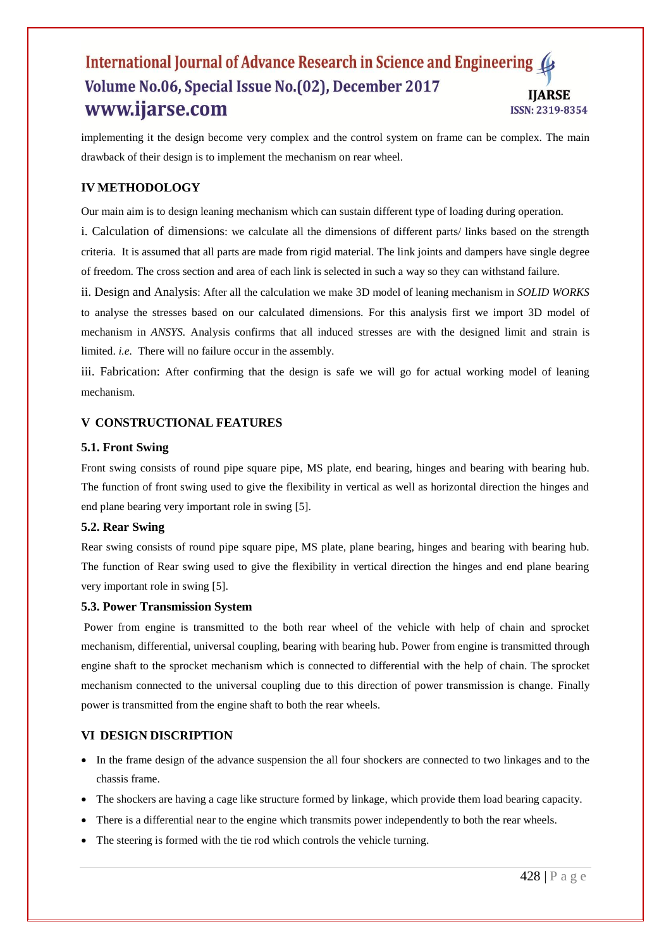#### International Journal of Advance Research in Science and Engineering ( Volume No.06, Special Issue No.(02), December 2017 **IJARSE** www.ijarse.com ISSN: 2319-8354

implementing it the design become very complex and the control system on frame can be complex. The main drawback of their design is to implement the mechanism on rear wheel.

## **IV METHODOLOGY**

Our main aim is to design leaning mechanism which can sustain different type of loading during operation.

i. Calculation of dimensions: we calculate all the dimensions of different parts/ links based on the strength criteria. It is assumed that all parts are made from rigid material. The link joints and dampers have single degree of freedom. The cross section and area of each link is selected in such a way so they can withstand failure.

ii. Design and Analysis: After all the calculation we make 3D model of leaning mechanism in *SOLID WORKS*  to analyse the stresses based on our calculated dimensions. For this analysis first we import 3D model of mechanism in *ANSYS.* Analysis confirms that all induced stresses are with the designed limit and strain is limited. *i.e.* There will no failure occur in the assembly.

iii. Fabrication: After confirming that the design is safe we will go for actual working model of leaning mechanism.

## **V CONSTRUCTIONAL FEATURES**

#### **5.1. Front Swing**

Front swing consists of round pipe square pipe, MS plate, end bearing, hinges and bearing with bearing hub. The function of front swing used to give the flexibility in vertical as well as horizontal direction the hinges and end plane bearing very important role in swing [5].

#### **5.2. Rear Swing**

Rear swing consists of round pipe square pipe, MS plate, plane bearing, hinges and bearing with bearing hub. The function of Rear swing used to give the flexibility in vertical direction the hinges and end plane bearing very important role in swing [5].

#### **5.3. Power Transmission System**

Power from engine is transmitted to the both rear wheel of the vehicle with help of chain and sprocket mechanism, differential, universal coupling, bearing with bearing hub. Power from engine is transmitted through engine shaft to the sprocket mechanism which is connected to differential with the help of chain. The sprocket mechanism connected to the universal coupling due to this direction of power transmission is change. Finally power is transmitted from the engine shaft to both the rear wheels.

## **VI DESIGN DISCRIPTION**

- In the frame design of the advance suspension the all four shockers are connected to two linkages and to the chassis frame.
- The shockers are having a cage like structure formed by linkage, which provide them load bearing capacity.
- There is a differential near to the engine which transmits power independently to both the rear wheels.
- The steering is formed with the tie rod which controls the vehicle turning.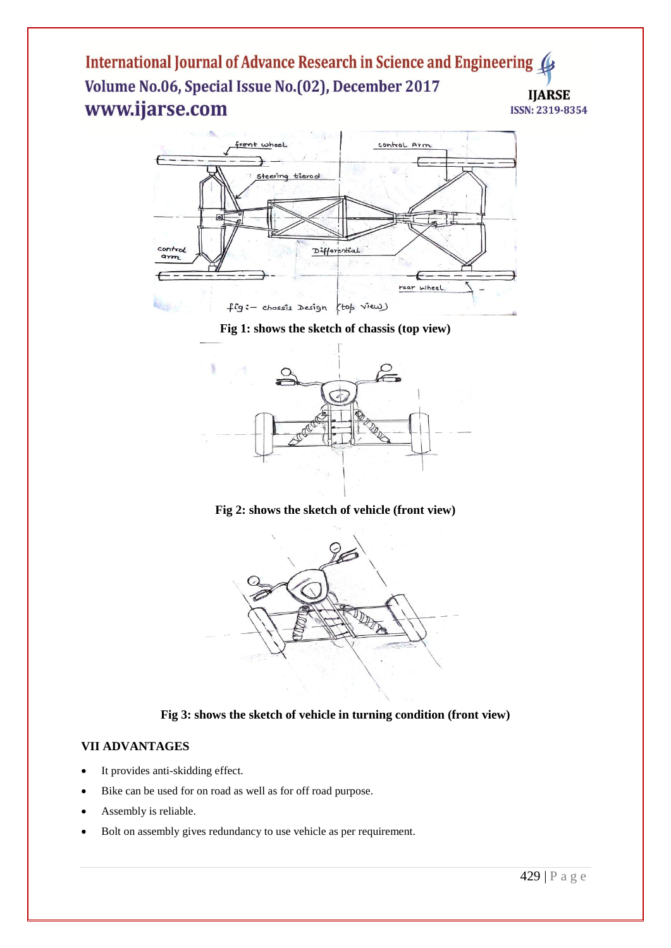International Journal of Advance Research in Science and Engineering Volume No.06, Special Issue No.(02), December 2017 **IIARSE** www.ijarse.com ISSN: 2319-8354



**Fig 1: shows the sketch of chassis (top view)**



**Fig 2: shows the sketch of vehicle (front view)**



**Fig 3: shows the sketch of vehicle in turning condition (front view)**

# **VII ADVANTAGES**

- It provides anti-skidding effect.
- Bike can be used for on road as well as for off road purpose.
- Assembly is reliable.
- Bolt on assembly gives redundancy to use vehicle as per requirement.